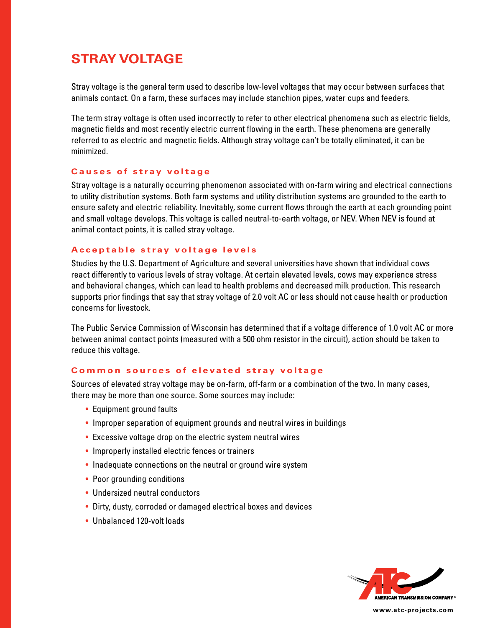# **STRAY VOLTAGE**

Stray voltage is the general term used to describe low-level voltages that may occur between surfaces that animals contact. On a farm, these surfaces may include stanchion pipes, water cups and feeders.

The term stray voltage is often used incorrectly to refer to other electrical phenomena such as electric fields, magnetic fields and most recently electric current flowing in the earth. These phenomena are generally referred to as electric and magnetic fields. Although stray voltage can't be totally eliminated, it can be minimized.

#### **Causes of stray voltage**

Stray voltage is a naturally occurring phenomenon associated with on-farm wiring and electrical connections to utility distribution systems. Both farm systems and utility distribution systems are grounded to the earth to ensure safety and electric reliability. Inevitably, some current flows through the earth at each grounding point and small voltage develops. This voltage is called neutral-to-earth voltage, or NEV. When NEV is found at animal contact points, it is called stray voltage.

# **Acceptable stray voltage levels**

Studies by the U.S. Department of Agriculture and several universities have shown that individual cows react differently to various levels of stray voltage. At certain elevated levels, cows may experience stress and behavioral changes, which can lead to health problems and decreased milk production. This research supports prior findings that say that stray voltage of 2.0 volt AC or less should not cause health or production concerns for livestock.

The Public Service Commission of Wisconsin has determined that if a voltage difference of 1.0 volt AC or more between animal contact points (measured with a 500 ohm resistor in the circuit), action should be taken to reduce this voltage.

#### **Common sources of elevated stray voltage**

Sources of elevated stray voltage may be on-farm, off-farm or a combination of the two. In many cases, there may be more than one source. Some sources may include:

- Equipment ground faults
- Improper separation of equipment grounds and neutral wires in buildings
- Excessive voltage drop on the electric system neutral wires
- Improperly installed electric fences or trainers
- Inadequate connections on the neutral or ground wire system
- Poor grounding conditions
- Undersized neutral conductors
- Dirty, dusty, corroded or damaged electrical boxes and devices
- Unbalanced 120-volt loads



**www.atc-projects.com**